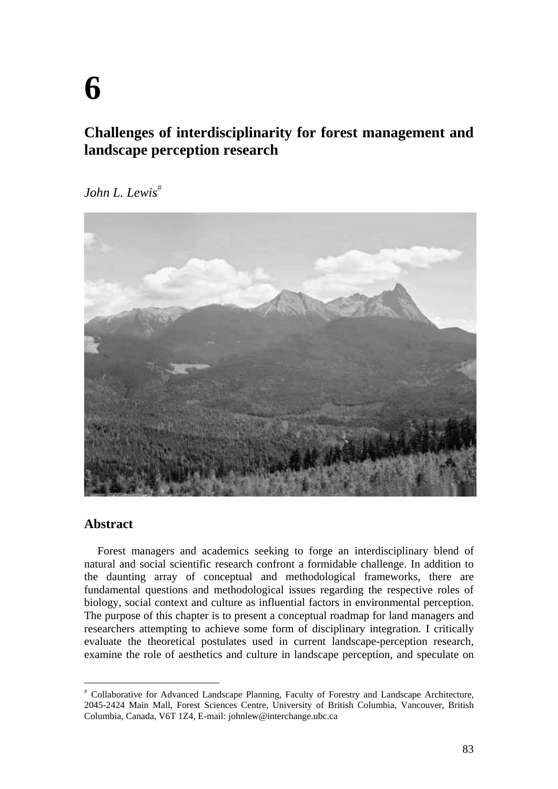# **Challenges of interdisciplinarity for forest management and landscape perception research**

*John L. Lewis*



## **Abstract**

 $\overline{a}$ 

Forest managers and academics seeking to forge an interdisciplinary blend of natural and social scientific research confront a formidable challenge. In addition to the daunting array of conceptual and methodological frameworks, there are fundamental questions and methodological issues regarding the respective roles of biology, social context and culture as influential factors in environmental perception. The purpose of this chapter is to present a conceptual roadmap for land managers and researchers attempting to achieve some form of disciplinary integration. I critically evaluate the theoretical postulates used in current landscape-perception research, examine the role of aesthetics and culture in landscape perception, and speculate on

Collaborative for Advanced Landscape Planning, Faculty of Forestry and Landscape Architecture, 2045-2424 Main Mall, Forest Sciences Centre, University of British Columbia, Vancouver, British Columbia, Canada, V6T 1Z4, E-mail: johnlew@interchange.ubc.ca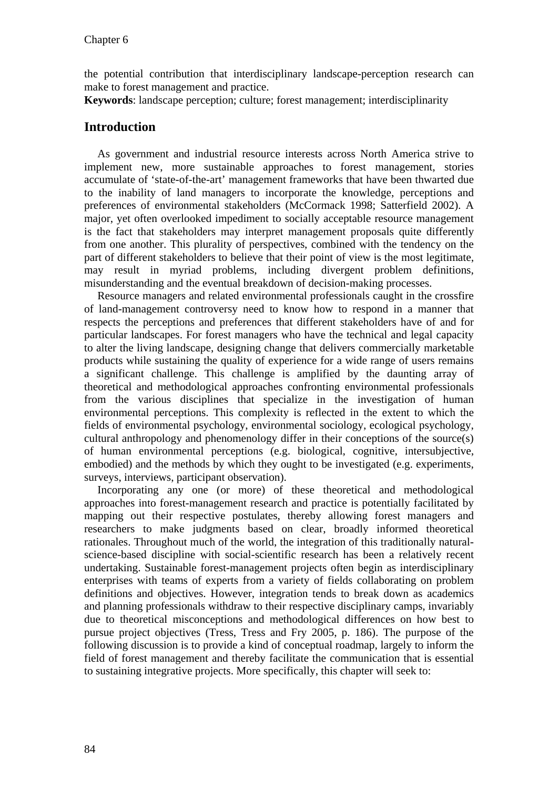the potential contribution that interdisciplinary landscape-perception research can make to forest management and practice.

**Keywords**: landscape perception; culture; forest management; interdisciplinarity

# **Introduction**

As government and industrial resource interests across North America strive to implement new, more sustainable approaches to forest management, stories accumulate of 'state-of-the-art' management frameworks that have been thwarted due to the inability of land managers to incorporate the knowledge, perceptions and preferences of environmental stakeholders (McCormack 1998; Satterfield 2002). A major, yet often overlooked impediment to socially acceptable resource management is the fact that stakeholders may interpret management proposals quite differently from one another. This plurality of perspectives, combined with the tendency on the part of different stakeholders to believe that their point of view is the most legitimate, may result in myriad problems, including divergent problem definitions, misunderstanding and the eventual breakdown of decision-making processes.

Resource managers and related environmental professionals caught in the crossfire of land-management controversy need to know how to respond in a manner that respects the perceptions and preferences that different stakeholders have of and for particular landscapes. For forest managers who have the technical and legal capacity to alter the living landscape, designing change that delivers commercially marketable products while sustaining the quality of experience for a wide range of users remains a significant challenge. This challenge is amplified by the daunting array of theoretical and methodological approaches confronting environmental professionals from the various disciplines that specialize in the investigation of human environmental perceptions. This complexity is reflected in the extent to which the fields of environmental psychology, environmental sociology, ecological psychology, cultural anthropology and phenomenology differ in their conceptions of the source(s) of human environmental perceptions (e.g. biological, cognitive, intersubjective, embodied) and the methods by which they ought to be investigated (e.g. experiments, surveys, interviews, participant observation).

Incorporating any one (or more) of these theoretical and methodological approaches into forest-management research and practice is potentially facilitated by mapping out their respective postulates, thereby allowing forest managers and researchers to make judgments based on clear, broadly informed theoretical rationales. Throughout much of the world, the integration of this traditionally naturalscience-based discipline with social-scientific research has been a relatively recent undertaking. Sustainable forest-management projects often begin as interdisciplinary enterprises with teams of experts from a variety of fields collaborating on problem definitions and objectives. However, integration tends to break down as academics and planning professionals withdraw to their respective disciplinary camps, invariably due to theoretical misconceptions and methodological differences on how best to pursue project objectives (Tress, Tress and Fry 2005, p. 186). The purpose of the following discussion is to provide a kind of conceptual roadmap, largely to inform the field of forest management and thereby facilitate the communication that is essential to sustaining integrative projects. More specifically, this chapter will seek to: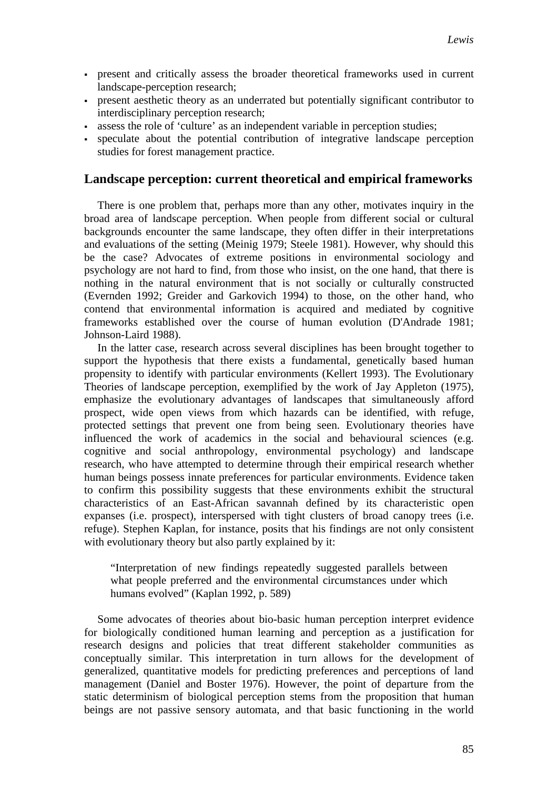- present and critically assess the broader theoretical frameworks used in current landscape-perception research;
- present aesthetic theory as an underrated but potentially significant contributor to interdisciplinary perception research;
- assess the role of 'culture' as an independent variable in perception studies;
- speculate about the potential contribution of integrative landscape perception studies for forest management practice.

## **Landscape perception: current theoretical and empirical frameworks**

There is one problem that, perhaps more than any other, motivates inquiry in the broad area of landscape perception. When people from different social or cultural backgrounds encounter the same landscape, they often differ in their interpretations and evaluations of the setting (Meinig 1979; Steele 1981). However, why should this be the case? Advocates of extreme positions in environmental sociology and psychology are not hard to find, from those who insist, on the one hand, that there is nothing in the natural environment that is not socially or culturally constructed (Evernden 1992; Greider and Garkovich 1994) to those, on the other hand, who contend that environmental information is acquired and mediated by cognitive frameworks established over the course of human evolution (D'Andrade 1981; Johnson-Laird 1988).

In the latter case, research across several disciplines has been brought together to support the hypothesis that there exists a fundamental, genetically based human propensity to identify with particular environments (Kellert 1993). The Evolutionary Theories of landscape perception, exemplified by the work of Jay Appleton (1975), emphasize the evolutionary advantages of landscapes that simultaneously afford prospect, wide open views from which hazards can be identified, with refuge, protected settings that prevent one from being seen. Evolutionary theories have influenced the work of academics in the social and behavioural sciences (e.g. cognitive and social anthropology, environmental psychology) and landscape research, who have attempted to determine through their empirical research whether human beings possess innate preferences for particular environments. Evidence taken to confirm this possibility suggests that these environments exhibit the structural characteristics of an East-African savannah defined by its characteristic open expanses (i.e. prospect), interspersed with tight clusters of broad canopy trees (i.e. refuge). Stephen Kaplan, for instance, posits that his findings are not only consistent with evolutionary theory but also partly explained by it:

"Interpretation of new findings repeatedly suggested parallels between what people preferred and the environmental circumstances under which humans evolved" (Kaplan 1992, p. 589)

Some advocates of theories about bio-basic human perception interpret evidence for biologically conditioned human learning and perception as a justification for research designs and policies that treat different stakeholder communities as conceptually similar. This interpretation in turn allows for the development of generalized, quantitative models for predicting preferences and perceptions of land management (Daniel and Boster 1976). However, the point of departure from the static determinism of biological perception stems from the proposition that human beings are not passive sensory automata, and that basic functioning in the world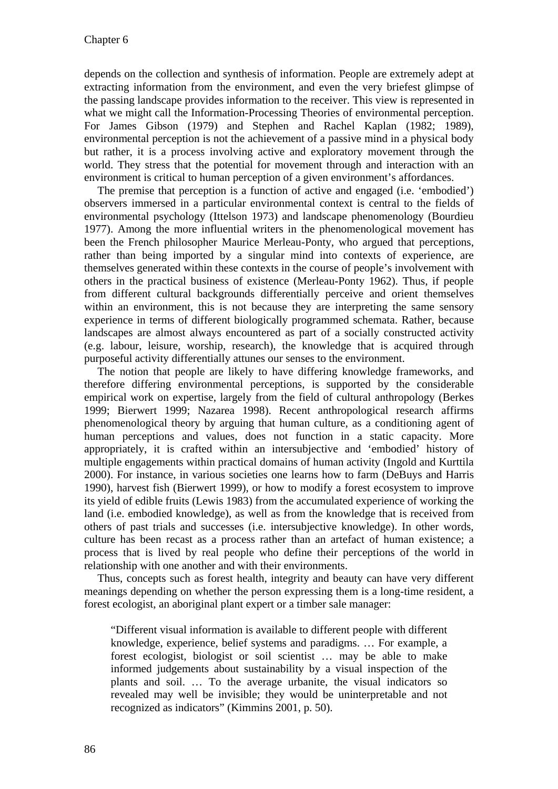depends on the collection and synthesis of information. People are extremely adept at extracting information from the environment, and even the very briefest glimpse of the passing landscape provides information to the receiver. This view is represented in what we might call the Information-Processing Theories of environmental perception. For James Gibson (1979) and Stephen and Rachel Kaplan (1982; 1989), environmental perception is not the achievement of a passive mind in a physical body but rather, it is a process involving active and exploratory movement through the world. They stress that the potential for movement through and interaction with an environment is critical to human perception of a given environment's affordances.

The premise that perception is a function of active and engaged (i.e. 'embodied') observers immersed in a particular environmental context is central to the fields of environmental psychology (Ittelson 1973) and landscape phenomenology (Bourdieu 1977). Among the more influential writers in the phenomenological movement has been the French philosopher Maurice Merleau-Ponty, who argued that perceptions, rather than being imported by a singular mind into contexts of experience, are themselves generated within these contexts in the course of people's involvement with others in the practical business of existence (Merleau-Ponty 1962). Thus, if people from different cultural backgrounds differentially perceive and orient themselves within an environment, this is not because they are interpreting the same sensory experience in terms of different biologically programmed schemata. Rather, because landscapes are almost always encountered as part of a socially constructed activity (e.g. labour, leisure, worship, research), the knowledge that is acquired through purposeful activity differentially attunes our senses to the environment.

The notion that people are likely to have differing knowledge frameworks, and therefore differing environmental perceptions, is supported by the considerable empirical work on expertise, largely from the field of cultural anthropology (Berkes 1999; Bierwert 1999; Nazarea 1998). Recent anthropological research affirms phenomenological theory by arguing that human culture, as a conditioning agent of human perceptions and values, does not function in a static capacity. More appropriately, it is crafted within an intersubjective and 'embodied' history of multiple engagements within practical domains of human activity (Ingold and Kurttila 2000). For instance, in various societies one learns how to farm (DeBuys and Harris 1990), harvest fish (Bierwert 1999), or how to modify a forest ecosystem to improve its yield of edible fruits (Lewis 1983) from the accumulated experience of working the land (i.e. embodied knowledge), as well as from the knowledge that is received from others of past trials and successes (i.e. intersubjective knowledge). In other words, culture has been recast as a process rather than an artefact of human existence; a process that is lived by real people who define their perceptions of the world in relationship with one another and with their environments.

Thus, concepts such as forest health, integrity and beauty can have very different meanings depending on whether the person expressing them is a long-time resident, a forest ecologist, an aboriginal plant expert or a timber sale manager:

"Different visual information is available to different people with different knowledge, experience, belief systems and paradigms. … For example, a forest ecologist, biologist or soil scientist … may be able to make informed judgements about sustainability by a visual inspection of the plants and soil. … To the average urbanite, the visual indicators so revealed may well be invisible; they would be uninterpretable and not recognized as indicators" (Kimmins 2001, p. 50).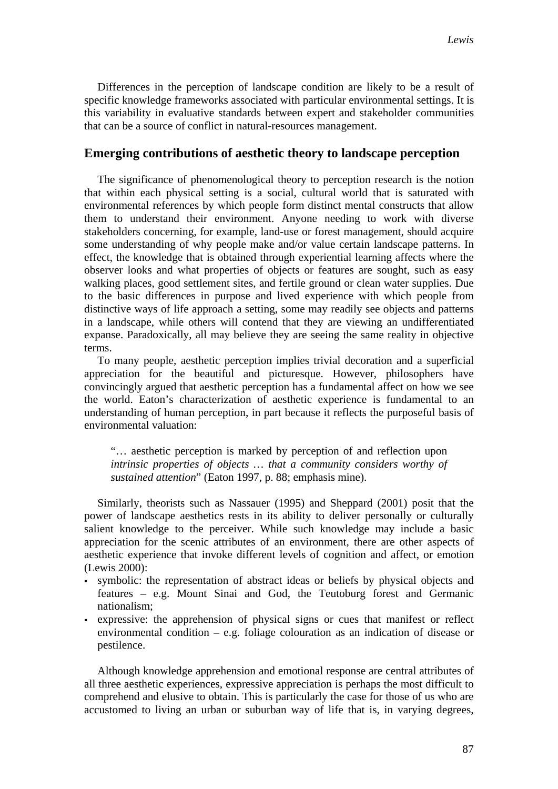Differences in the perception of landscape condition are likely to be a result of specific knowledge frameworks associated with particular environmental settings. It is this variability in evaluative standards between expert and stakeholder communities that can be a source of conflict in natural-resources management.

### **Emerging contributions of aesthetic theory to landscape perception**

The significance of phenomenological theory to perception research is the notion that within each physical setting is a social, cultural world that is saturated with environmental references by which people form distinct mental constructs that allow them to understand their environment. Anyone needing to work with diverse stakeholders concerning, for example, land-use or forest management, should acquire some understanding of why people make and/or value certain landscape patterns. In effect, the knowledge that is obtained through experiential learning affects where the observer looks and what properties of objects or features are sought, such as easy walking places, good settlement sites, and fertile ground or clean water supplies. Due to the basic differences in purpose and lived experience with which people from distinctive ways of life approach a setting, some may readily see objects and patterns in a landscape, while others will contend that they are viewing an undifferentiated expanse. Paradoxically, all may believe they are seeing the same reality in objective terms.

To many people, aesthetic perception implies trivial decoration and a superficial appreciation for the beautiful and picturesque. However, philosophers have convincingly argued that aesthetic perception has a fundamental affect on how we see the world. Eaton's characterization of aesthetic experience is fundamental to an understanding of human perception, in part because it reflects the purposeful basis of environmental valuation:

"… aesthetic perception is marked by perception of and reflection upon *intrinsic properties of objects … that a community considers worthy of sustained attention*" (Eaton 1997, p. 88; emphasis mine).

Similarly, theorists such as Nassauer (1995) and Sheppard (2001) posit that the power of landscape aesthetics rests in its ability to deliver personally or culturally salient knowledge to the perceiver. While such knowledge may include a basic appreciation for the scenic attributes of an environment, there are other aspects of aesthetic experience that invoke different levels of cognition and affect, or emotion (Lewis 2000):

- symbolic: the representation of abstract ideas or beliefs by physical objects and features – e.g. Mount Sinai and God, the Teutoburg forest and Germanic nationalism;
- expressive: the apprehension of physical signs or cues that manifest or reflect environmental condition – e.g. foliage colouration as an indication of disease or pestilence.

Although knowledge apprehension and emotional response are central attributes of all three aesthetic experiences, expressive appreciation is perhaps the most difficult to comprehend and elusive to obtain. This is particularly the case for those of us who are accustomed to living an urban or suburban way of life that is, in varying degrees,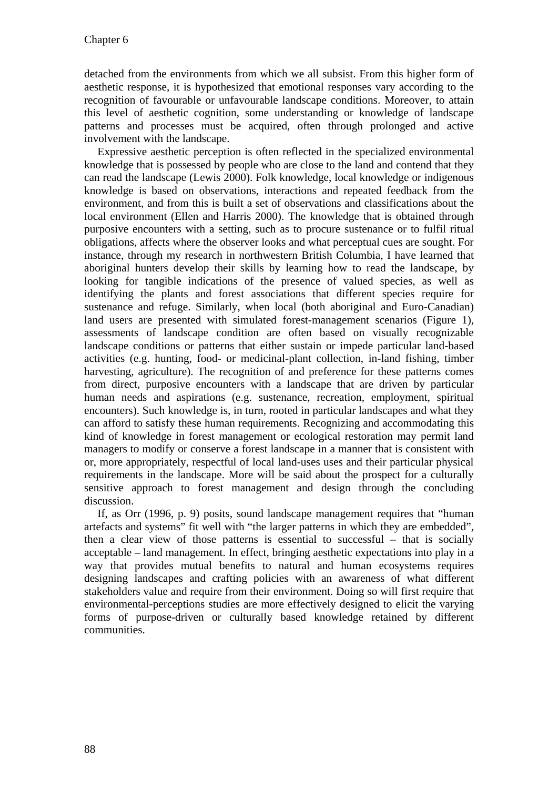detached from the environments from which we all subsist. From this higher form of aesthetic response, it is hypothesized that emotional responses vary according to the recognition of favourable or unfavourable landscape conditions. Moreover, to attain this level of aesthetic cognition, some understanding or knowledge of landscape patterns and processes must be acquired, often through prolonged and active involvement with the landscape.

Expressive aesthetic perception is often reflected in the specialized environmental knowledge that is possessed by people who are close to the land and contend that they can read the landscape (Lewis 2000). Folk knowledge, local knowledge or indigenous knowledge is based on observations, interactions and repeated feedback from the environment, and from this is built a set of observations and classifications about the local environment (Ellen and Harris 2000). The knowledge that is obtained through purposive encounters with a setting, such as to procure sustenance or to fulfil ritual obligations, affects where the observer looks and what perceptual cues are sought. For instance, through my research in northwestern British Columbia, I have learned that aboriginal hunters develop their skills by learning how to read the landscape, by looking for tangible indications of the presence of valued species, as well as identifying the plants and forest associations that different species require for sustenance and refuge. Similarly, when local (both aboriginal and Euro-Canadian) land users are presented with simulated forest-management scenarios (Figure 1), assessments of landscape condition are often based on visually recognizable landscape conditions or patterns that either sustain or impede particular land-based activities (e.g. hunting, food- or medicinal-plant collection, in-land fishing, timber harvesting, agriculture). The recognition of and preference for these patterns comes from direct, purposive encounters with a landscape that are driven by particular human needs and aspirations (e.g. sustenance, recreation, employment, spiritual encounters). Such knowledge is, in turn, rooted in particular landscapes and what they can afford to satisfy these human requirements. Recognizing and accommodating this kind of knowledge in forest management or ecological restoration may permit land managers to modify or conserve a forest landscape in a manner that is consistent with or, more appropriately, respectful of local land-uses uses and their particular physical requirements in the landscape. More will be said about the prospect for a culturally sensitive approach to forest management and design through the concluding discussion.

If, as Orr (1996, p. 9) posits, sound landscape management requires that "human artefacts and systems" fit well with "the larger patterns in which they are embedded", then a clear view of those patterns is essential to successful – that is socially acceptable – land management. In effect, bringing aesthetic expectations into play in a way that provides mutual benefits to natural and human ecosystems requires designing landscapes and crafting policies with an awareness of what different stakeholders value and require from their environment. Doing so will first require that environmental-perceptions studies are more effectively designed to elicit the varying forms of purpose-driven or culturally based knowledge retained by different communities.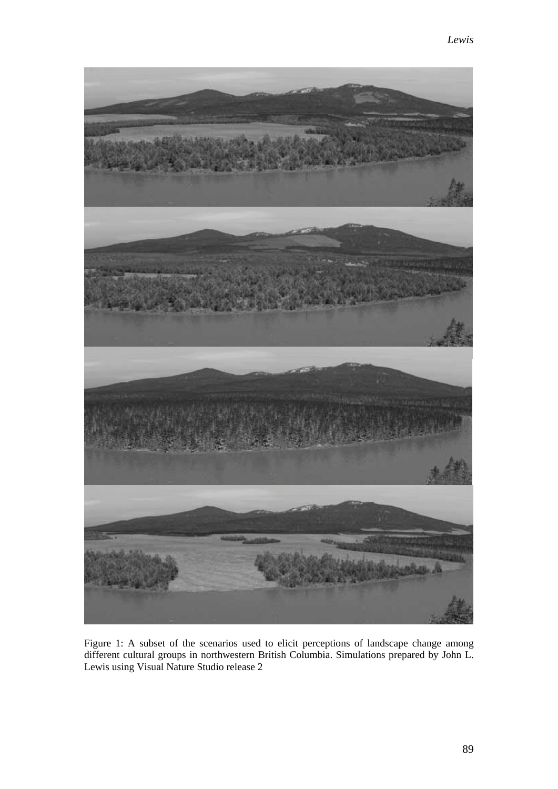

Figure 1: A subset of the scenarios used to elicit perceptions of landscape change among different cultural groups in northwestern British Columbia. Simulations prepared by John L. Lewis using Visual Nature Studio release 2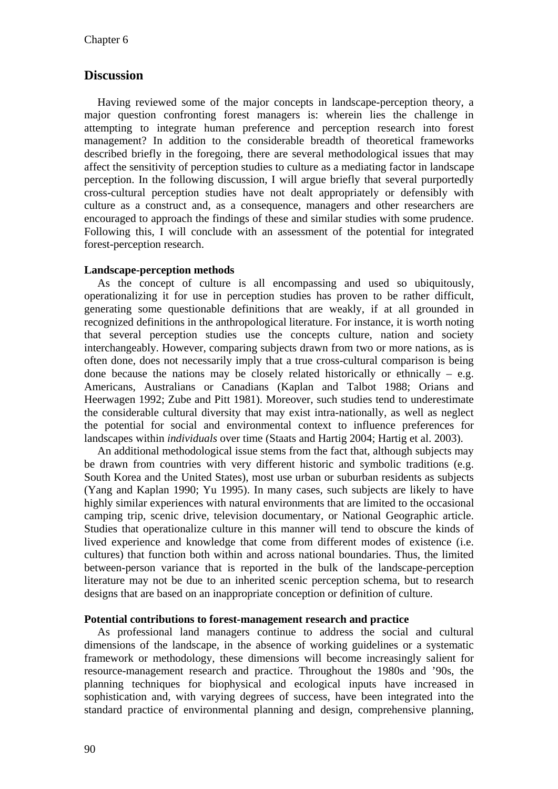## **Discussion**

Having reviewed some of the major concepts in landscape-perception theory, a major question confronting forest managers is: wherein lies the challenge in attempting to integrate human preference and perception research into forest management? In addition to the considerable breadth of theoretical frameworks described briefly in the foregoing, there are several methodological issues that may affect the sensitivity of perception studies to culture as a mediating factor in landscape perception. In the following discussion, I will argue briefly that several purportedly cross-cultural perception studies have not dealt appropriately or defensibly with culture as a construct and, as a consequence, managers and other researchers are encouraged to approach the findings of these and similar studies with some prudence. Following this, I will conclude with an assessment of the potential for integrated forest-perception research.

#### **Landscape-perception methods**

As the concept of culture is all encompassing and used so ubiquitously, operationalizing it for use in perception studies has proven to be rather difficult, generating some questionable definitions that are weakly, if at all grounded in recognized definitions in the anthropological literature. For instance, it is worth noting that several perception studies use the concepts culture, nation and society interchangeably. However, comparing subjects drawn from two or more nations, as is often done, does not necessarily imply that a true cross-cultural comparison is being done because the nations may be closely related historically or ethnically  $-$  e.g. Americans, Australians or Canadians (Kaplan and Talbot 1988; Orians and Heerwagen 1992; Zube and Pitt 1981). Moreover, such studies tend to underestimate the considerable cultural diversity that may exist intra-nationally, as well as neglect the potential for social and environmental context to influence preferences for landscapes within *individuals* over time (Staats and Hartig 2004; Hartig et al. 2003).

An additional methodological issue stems from the fact that, although subjects may be drawn from countries with very different historic and symbolic traditions (e.g. South Korea and the United States), most use urban or suburban residents as subjects (Yang and Kaplan 1990; Yu 1995). In many cases, such subjects are likely to have highly similar experiences with natural environments that are limited to the occasional camping trip, scenic drive, television documentary, or National Geographic article. Studies that operationalize culture in this manner will tend to obscure the kinds of lived experience and knowledge that come from different modes of existence (i.e. cultures) that function both within and across national boundaries. Thus, the limited between-person variance that is reported in the bulk of the landscape-perception literature may not be due to an inherited scenic perception schema, but to research designs that are based on an inappropriate conception or definition of culture.

#### **Potential contributions to forest-management research and practice**

As professional land managers continue to address the social and cultural dimensions of the landscape, in the absence of working guidelines or a systematic framework or methodology, these dimensions will become increasingly salient for resource-management research and practice. Throughout the 1980s and '90s, the planning techniques for biophysical and ecological inputs have increased in sophistication and, with varying degrees of success, have been integrated into the standard practice of environmental planning and design, comprehensive planning,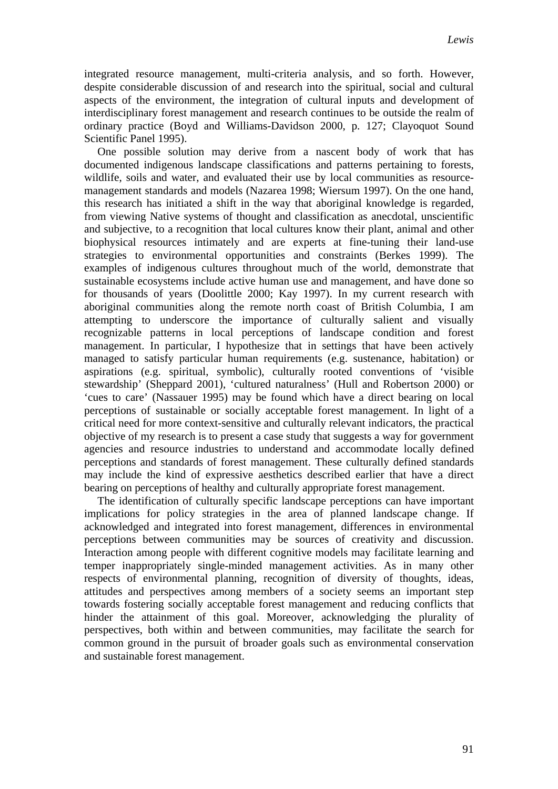integrated resource management, multi-criteria analysis, and so forth. However, despite considerable discussion of and research into the spiritual, social and cultural aspects of the environment, the integration of cultural inputs and development of interdisciplinary forest management and research continues to be outside the realm of ordinary practice (Boyd and Williams-Davidson 2000, p. 127; Clayoquot Sound Scientific Panel 1995).

One possible solution may derive from a nascent body of work that has documented indigenous landscape classifications and patterns pertaining to forests, wildlife, soils and water, and evaluated their use by local communities as resourcemanagement standards and models (Nazarea 1998; Wiersum 1997). On the one hand, this research has initiated a shift in the way that aboriginal knowledge is regarded, from viewing Native systems of thought and classification as anecdotal, unscientific and subjective, to a recognition that local cultures know their plant, animal and other biophysical resources intimately and are experts at fine-tuning their land-use strategies to environmental opportunities and constraints (Berkes 1999). The examples of indigenous cultures throughout much of the world, demonstrate that sustainable ecosystems include active human use and management, and have done so for thousands of years (Doolittle 2000; Kay 1997). In my current research with aboriginal communities along the remote north coast of British Columbia, I am attempting to underscore the importance of culturally salient and visually recognizable patterns in local perceptions of landscape condition and forest management. In particular, I hypothesize that in settings that have been actively managed to satisfy particular human requirements (e.g. sustenance, habitation) or aspirations (e.g. spiritual, symbolic), culturally rooted conventions of 'visible stewardship' (Sheppard 2001), 'cultured naturalness' (Hull and Robertson 2000) or 'cues to care' (Nassauer 1995) may be found which have a direct bearing on local perceptions of sustainable or socially acceptable forest management. In light of a critical need for more context-sensitive and culturally relevant indicators, the practical objective of my research is to present a case study that suggests a way for government agencies and resource industries to understand and accommodate locally defined perceptions and standards of forest management. These culturally defined standards may include the kind of expressive aesthetics described earlier that have a direct bearing on perceptions of healthy and culturally appropriate forest management.

The identification of culturally specific landscape perceptions can have important implications for policy strategies in the area of planned landscape change. If acknowledged and integrated into forest management, differences in environmental perceptions between communities may be sources of creativity and discussion. Interaction among people with different cognitive models may facilitate learning and temper inappropriately single-minded management activities. As in many other respects of environmental planning, recognition of diversity of thoughts, ideas, attitudes and perspectives among members of a society seems an important step towards fostering socially acceptable forest management and reducing conflicts that hinder the attainment of this goal. Moreover, acknowledging the plurality of perspectives, both within and between communities, may facilitate the search for common ground in the pursuit of broader goals such as environmental conservation and sustainable forest management.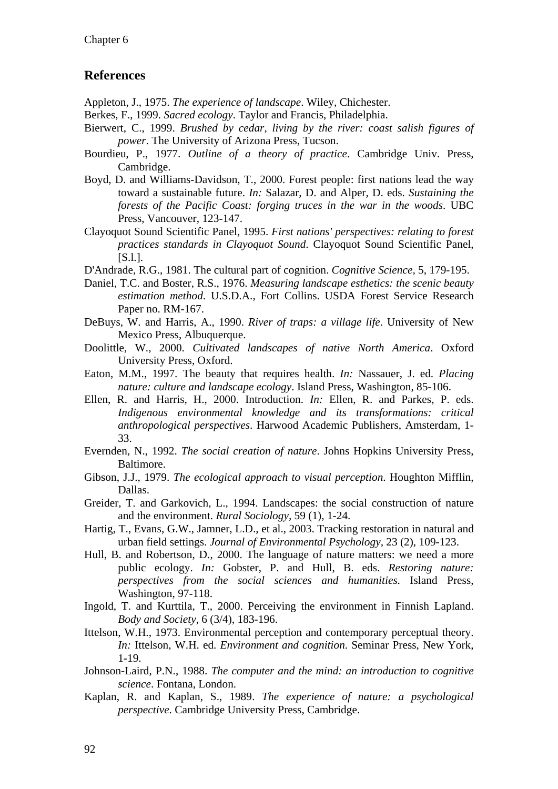## **References**

Appleton, J., 1975. *The experience of landscape*. Wiley, Chichester.

- Berkes, F., 1999. *Sacred ecology*. Taylor and Francis, Philadelphia.
- Bierwert, C., 1999. *Brushed by cedar, living by the river: coast salish figures of power*. The University of Arizona Press, Tucson.
- Bourdieu, P., 1977. *Outline of a theory of practice*. Cambridge Univ. Press, Cambridge.
- Boyd, D. and Williams-Davidson, T., 2000. Forest people: first nations lead the way toward a sustainable future. *In:* Salazar, D. and Alper, D. eds. *Sustaining the forests of the Pacific Coast: forging truces in the war in the woods*. UBC Press, Vancouver, 123-147.
- Clayoquot Sound Scientific Panel, 1995. *First nations' perspectives: relating to forest practices standards in Clayoquot Sound*. Clayoquot Sound Scientific Panel, [S.l.].
- D'Andrade, R.G., 1981. The cultural part of cognition. *Cognitive Science,* 5, 179-195.
- Daniel, T.C. and Boster, R.S., 1976. *Measuring landscape esthetics: the scenic beauty estimation method*. U.S.D.A., Fort Collins. USDA Forest Service Research Paper no. RM-167.
- DeBuys, W. and Harris, A., 1990. *River of traps: a village life*. University of New Mexico Press, Albuquerque.
- Doolittle, W., 2000. *Cultivated landscapes of native North America*. Oxford University Press, Oxford.
- Eaton, M.M., 1997. The beauty that requires health. *In:* Nassauer, J. ed. *Placing nature: culture and landscape ecology*. Island Press, Washington, 85-106.
- Ellen, R. and Harris, H., 2000. Introduction. *In:* Ellen, R. and Parkes, P. eds. *Indigenous environmental knowledge and its transformations: critical anthropological perspectives*. Harwood Academic Publishers, Amsterdam, 1- 33.
- Evernden, N., 1992. *The social creation of nature*. Johns Hopkins University Press, Baltimore.
- Gibson, J.J., 1979. *The ecological approach to visual perception*. Houghton Mifflin, Dallas.
- Greider, T. and Garkovich, L., 1994. Landscapes: the social construction of nature and the environment. *Rural Sociology,* 59 (1), 1-24.
- Hartig, T., Evans, G.W., Jamner, L.D., et al., 2003. Tracking restoration in natural and urban field settings. *Journal of Environmental Psychology,* 23 (2), 109-123.
- Hull, B. and Robertson, D., 2000. The language of nature matters: we need a more public ecology. *In:* Gobster, P. and Hull, B. eds. *Restoring nature: perspectives from the social sciences and humanities*. Island Press, Washington, 97-118.
- Ingold, T. and Kurttila, T., 2000. Perceiving the environment in Finnish Lapland. *Body and Society,* 6 (3/4), 183-196.
- Ittelson, W.H., 1973. Environmental perception and contemporary perceptual theory. *In:* Ittelson, W.H. ed. *Environment and cognition*. Seminar Press, New York, 1-19.
- Johnson-Laird, P.N., 1988. *The computer and the mind: an introduction to cognitive science*. Fontana, London.
- Kaplan, R. and Kaplan, S., 1989. *The experience of nature: a psychological perspective*. Cambridge University Press, Cambridge.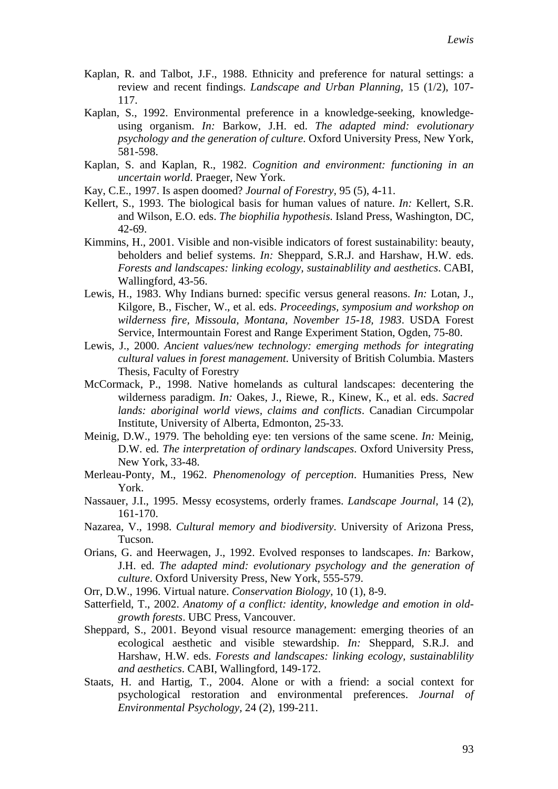- Kaplan, R. and Talbot, J.F., 1988. Ethnicity and preference for natural settings: a review and recent findings. *Landscape and Urban Planning,* 15 (1/2), 107- 117.
- Kaplan, S., 1992. Environmental preference in a knowledge-seeking, knowledgeusing organism. *In:* Barkow, J.H. ed. *The adapted mind: evolutionary psychology and the generation of culture*. Oxford University Press, New York, 581-598.
- Kaplan, S. and Kaplan, R., 1982. *Cognition and environment: functioning in an uncertain world*. Praeger, New York.
- Kay, C.E., 1997. Is aspen doomed? *Journal of Forestry,* 95 (5), 4-11.
- Kellert, S., 1993. The biological basis for human values of nature. *In:* Kellert, S.R. and Wilson, E.O. eds. *The biophilia hypothesis*. Island Press, Washington, DC, 42-69.
- Kimmins, H., 2001. Visible and non-visible indicators of forest sustainability: beauty, beholders and belief systems. *In:* Sheppard, S.R.J. and Harshaw, H.W. eds. *Forests and landscapes: linking ecology, sustainablility and aesthetics*. CABI, Wallingford, 43-56.
- Lewis, H., 1983. Why Indians burned: specific versus general reasons. *In:* Lotan, J., Kilgore, B., Fischer, W., et al. eds. *Proceedings, symposium and workshop on wilderness fire, Missoula, Montana, November 15-18, 1983*. USDA Forest Service, Intermountain Forest and Range Experiment Station, Ogden, 75-80.
- Lewis, J., 2000. *Ancient values/new technology: emerging methods for integrating cultural values in forest management*. University of British Columbia. Masters Thesis, Faculty of Forestry
- McCormack, P., 1998. Native homelands as cultural landscapes: decentering the wilderness paradigm. *In:* Oakes, J., Riewe, R., Kinew, K., et al. eds. *Sacred lands: aboriginal world views, claims and conflicts*. Canadian Circumpolar Institute, University of Alberta, Edmonton, 25-33.
- Meinig, D.W., 1979. The beholding eye: ten versions of the same scene. *In:* Meinig, D.W. ed. *The interpretation of ordinary landscapes*. Oxford University Press, New York, 33-48.
- Merleau-Ponty, M., 1962. *Phenomenology of perception*. Humanities Press, New York.
- Nassauer, J.I., 1995. Messy ecosystems, orderly frames. *Landscape Journal,* 14 (2), 161-170.
- Nazarea, V., 1998. *Cultural memory and biodiversity*. University of Arizona Press, Tucson.
- Orians, G. and Heerwagen, J., 1992. Evolved responses to landscapes. *In:* Barkow, J.H. ed. *The adapted mind: evolutionary psychology and the generation of culture*. Oxford University Press, New York, 555-579.
- Orr, D.W., 1996. Virtual nature. *Conservation Biology,* 10 (1), 8-9.
- Satterfield, T., 2002. *Anatomy of a conflict: identity, knowledge and emotion in oldgrowth forests*. UBC Press, Vancouver.
- Sheppard, S., 2001. Beyond visual resource management: emerging theories of an ecological aesthetic and visible stewardship. *In:* Sheppard, S.R.J. and Harshaw, H.W. eds. *Forests and landscapes: linking ecology, sustainablility and aesthetics*. CABI, Wallingford, 149-172.
- Staats, H. and Hartig, T., 2004. Alone or with a friend: a social context for psychological restoration and environmental preferences. *Journal of Environmental Psychology,* 24 (2), 199-211.